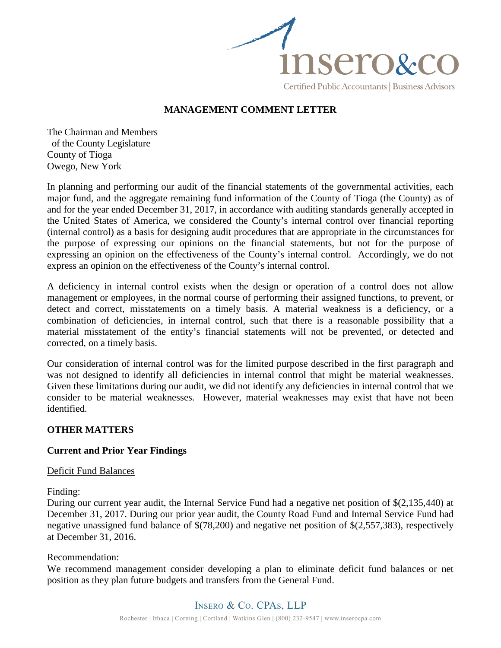

#### **MANAGEMENT COMMENT LETTER**

The Chairman and Members of the County Legislature County of Tioga Owego, New York

In planning and performing our audit of the financial statements of the governmental activities, each major fund, and the aggregate remaining fund information of the County of Tioga (the County) as of and for the year ended December 31, 2017, in accordance with auditing standards generally accepted in the United States of America, we considered the County's internal control over financial reporting (internal control) as a basis for designing audit procedures that are appropriate in the circumstances for the purpose of expressing our opinions on the financial statements, but not for the purpose of expressing an opinion on the effectiveness of the County's internal control. Accordingly, we do not express an opinion on the effectiveness of the County's internal control.

A deficiency in internal control exists when the design or operation of a control does not allow management or employees, in the normal course of performing their assigned functions, to prevent, or detect and correct, misstatements on a timely basis. A material weakness is a deficiency, or a combination of deficiencies, in internal control, such that there is a reasonable possibility that a material misstatement of the entity's financial statements will not be prevented, or detected and corrected, on a timely basis.

Our consideration of internal control was for the limited purpose described in the first paragraph and was not designed to identify all deficiencies in internal control that might be material weaknesses. Given these limitations during our audit, we did not identify any deficiencies in internal control that we consider to be material weaknesses. However, material weaknesses may exist that have not been identified.

#### **OTHER MATTERS**

#### **Current and Prior Year Findings**

Deficit Fund Balances

Finding:

During our current year audit, the Internal Service Fund had a negative net position of \$(2,135,440) at December 31, 2017. During our prior year audit, the County Road Fund and Internal Service Fund had negative unassigned fund balance of \$(78,200) and negative net position of \$(2,557,383), respectively at December 31, 2016.

#### Recommendation:

We recommend management consider developing a plan to eliminate deficit fund balances or net position as they plan future budgets and transfers from the General Fund.

## Insero & Co. CPAs, LLP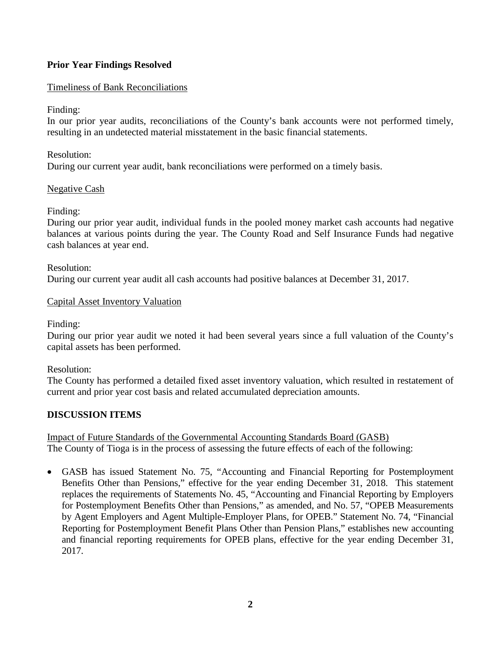### **Prior Year Findings Resolved**

#### Timeliness of Bank Reconciliations

#### Finding:

In our prior year audits, reconciliations of the County's bank accounts were not performed timely, resulting in an undetected material misstatement in the basic financial statements.

## Resolution: During our current year audit, bank reconciliations were performed on a timely basis.

#### Negative Cash

Finding:

During our prior year audit, individual funds in the pooled money market cash accounts had negative balances at various points during the year. The County Road and Self Insurance Funds had negative cash balances at year end.

# Resolution: During our current year audit all cash accounts had positive balances at December 31, 2017.

#### Capital Asset Inventory Valuation

Finding:

During our prior year audit we noted it had been several years since a full valuation of the County's capital assets has been performed.

#### Resolution:

The County has performed a detailed fixed asset inventory valuation, which resulted in restatement of current and prior year cost basis and related accumulated depreciation amounts.

#### **DISCUSSION ITEMS**

Impact of Future Standards of the Governmental Accounting Standards Board (GASB) The County of Tioga is in the process of assessing the future effects of each of the following:

• GASB has issued Statement No. 75, "Accounting and Financial Reporting for Postemployment Benefits Other than Pensions," effective for the year ending December 31, 2018. This statement replaces the requirements of Statements No. 45, "Accounting and Financial Reporting by Employers for Postemployment Benefits Other than Pensions," as amended, and No. 57, "OPEB Measurements by Agent Employers and Agent Multiple-Employer Plans, for OPEB." Statement No. 74, "Financial Reporting for Postemployment Benefit Plans Other than Pension Plans," establishes new accounting and financial reporting requirements for OPEB plans, effective for the year ending December 31, 2017.